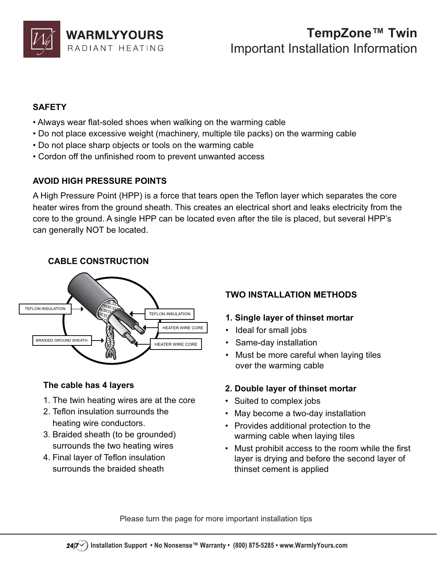

# Important Installation Information

### **SAFFTY**

- **SAFETY** • Always wear flat-soled shoes when walking on the warming cable
- Do not place excessive weight (machinery, multiple tile packs) on the warming cable
- Do not place sharp objects or tools on the warming cable
- Cordon off the unfinished room to prevent unwanted access

### **AVOID HIGH PRESSURE POINTS**

**AVOID HIGH PRESSURE POINTS**  A High Pressure Point (HPP) is a force that tears open the Teflon layer which separates the core heater wires from the ground sheath. This creates an electrical short and leaks electricity from the core to the ground. A single HPP can be located even after the tile is placed, but several HPP's can generally NOT be located.

### **CABLE CONSTRUCTION**



- **The cable has 4 layers** 1. The twin heating wires are at the core
- 2. Teflon insulation surrounds the heating wire conductors.
- 3. Braided sheath (to be grounded) surrounds the two heating wires
- 4. Final layer of Teflon insulation surrounds the braided sheath

### **TWO INSTALLATION METHODS TWO INSTALLATION METHODS**

- 
- **1. Single layer of thinset mortar** • Ideal for small jobs
- Same-day installation
- Must be more careful when laying tiles over the warming cable

- **2. Double layer of thinset mortar** • Suited to complex jobs
- May become a two-day installation
- Provides additional protection to the warming cable when laying tiles
- Must prohibit access to the room while the first layer is drying and before the second layer of thinset cement is applied

Please turn the page for more important installation tips